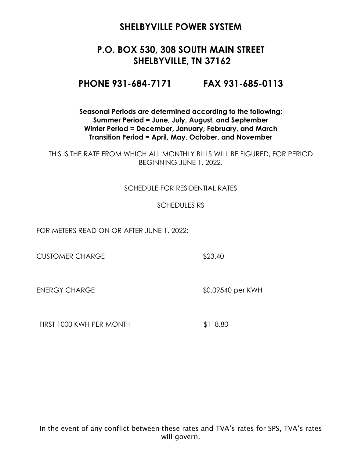# **P.O. BOX 530, 308 SOUTH MAIN STREET SHELBYVILLE, TN 37162**

**PHONE 931-684-7171 FAX 931-685-0113**

**Seasonal Periods are determined according to the following: Summer Period = June, July, August, and September Winter Period = December, January, February, and March Transition Period = April, May, October, and November**

THIS IS THE RATE FROM WHICH ALL MONTHLY BILLS WILL BE FIGURED, FOR PERIOD BEGINNING JUNE 1, 2022.

#### SCHEDULE FOR RESIDENTIAL RATES

#### SCHEDULES RS

FOR METERS READ ON OR AFTER JUNE 1, 2022:

CUSTOMER CHARGE \$23.40

ENERGY CHARGE \$0.09540 per KWH

FIRST 1000 KWH PER MONTH \$118.80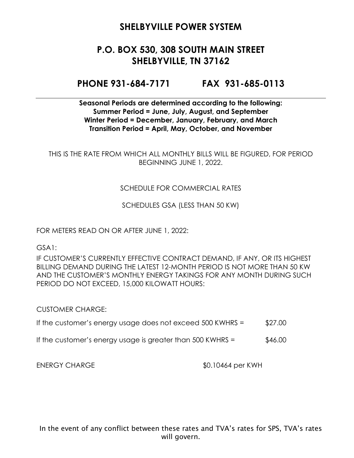# **P.O. BOX 530, 308 SOUTH MAIN STREET SHELBYVILLE, TN 37162**

### **PHONE 931-684-7171 FAX 931-685-0113**

**Seasonal Periods are determined according to the following: Summer Period = June, July, August, and September Winter Period = December, January, February, and March Transition Period = April, May, October, and November**

THIS IS THE RATE FROM WHICH ALL MONTHLY BILLS WILL BE FIGURED, FOR PERIOD BEGINNING JUNE 1, 2022.

#### SCHEDULE FOR COMMERCIAL RATES

SCHEDULES GSA (LESS THAN 50 KW)

FOR METERS READ ON OR AFTER JUNE 1, 2022:

GSA1:

IF CUSTOMER'S CURRENTLY EFFECTIVE CONTRACT DEMAND, IF ANY, OR ITS HIGHEST BILLING DEMAND DURING THE LATEST 12-MONTH PERIOD IS NOT MORE THAN 50 KW AND THE CUSTOMER'S MONTHLY ENERGY TAKINGS FOR ANY MONTH DURING SUCH PERIOD DO NOT EXCEED, 15,000 KILOWATT HOURS:

CUSTOMER CHARGE:

- If the customer's energy usage does not exceed  $500$  KWHRS =  $$27.00$
- If the customer's energy usage is greater than  $500$  KWHRS =  $$46.00$

ENERGY CHARGE \$0.10464 per KWH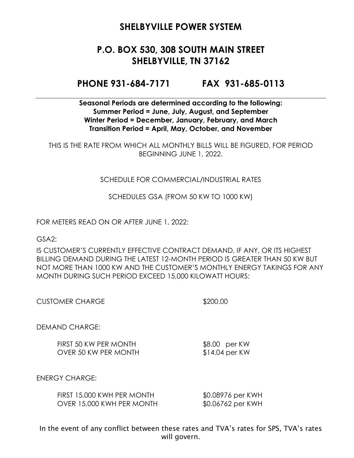# **P.O. BOX 530, 308 SOUTH MAIN STREET SHELBYVILLE, TN 37162**

### **PHONE 931-684-7171 FAX 931-685-0113**

**Seasonal Periods are determined according to the following: Summer Period = June, July, August, and September Winter Period = December, January, February, and March Transition Period = April, May, October, and November**

THIS IS THE RATE FROM WHICH ALL MONTHLY BILLS WILL BE FIGURED, FOR PERIOD BEGINNING JUNE 1, 2022.

#### SCHEDULE FOR COMMERCIAL/INDUSTRIAL RATES

SCHEDULES GSA (FROM 50 KW TO 1000 KW)

FOR METERS READ ON OR AFTER JUNE 1, 2022:

GSA2:

IS CUSTOMER'S CURRENTLY EFFECTIVE CONTRACT DEMAND, IF ANY, OR ITS HIGHEST BILLING DEMAND DURING THE LATEST 12-MONTH PERIOD IS GREATER THAN 50 KW BUT NOT MORE THAN 1000 KW AND THE CUSTOMER'S MONTHLY ENERGY TAKINGS FOR ANY MONTH DURING SUCH PERIOD EXCEED 15,000 KILOWATT HOURS:

\$200.00

DEMAND CHARGE:

FIRST 50 KW PER MONTH \$8.00 per KW OVER 50 KW PER MONTH \$14.04 per KW

ENERGY CHARGE:

| FIRST 15,000 KWH PER MONTH | \$0.08976 per KWH |
|----------------------------|-------------------|
| OVER 15,000 KWH PER MONTH  | \$0.06762 per KWH |

In the event of any conflict between these rates and TVA's rates for SPS, TVA's rates will govern.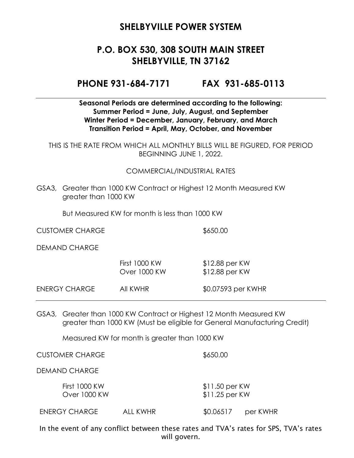# **P.O. BOX 530, 308 SOUTH MAIN STREET SHELBYVILLE, TN 37162**

#### **PHONE 931-684-7171 FAX 931-685-0113**

#### **Seasonal Periods are determined according to the following: Summer Period = June, July, August, and September Winter Period = December, January, February, and March Transition Period = April, May, October, and November**

THIS IS THE RATE FROM WHICH ALL MONTHLY BILLS WILL BE FIGURED, FOR PERIOD BEGINNING JUNE 1, 2022.

#### COMMERCIAL/INDUSTRIAL RATES

GSA3, Greater than 1000 KW Contract or Highest 12 Month Measured KW greater than 1000 KW

But Measured KW for month is less than 1000 KW

CUSTOMER CHARGE \$650.00

DEMAND CHARGE

|               | <b>First 1000 KW</b><br>Over 1000 KW | $$12.88$ per KW<br>$$12.88$ per KW |
|---------------|--------------------------------------|------------------------------------|
| ENERGY CHARGE | AII KWHR                             | \$0.07593 per KWHR                 |

GSA3, Greater than 1000 KW Contract or Highest 12 Month Measured KW greater than 1000 KW (Must be eligible for General Manufacturing Credit)

Measured KW for month is greater than 1000 KW

CUSTOMER CHARGE \$650.00

DEMAND CHARGE

First 1000 KW \$11.50 per KW Over 1000 KW \$11.25 per KW ENERGY CHARGE ALL KWHR \$0.06517 per KWHR

In the event of any conflict between these rates and TVA's rates for SPS, TVA's rates will govern.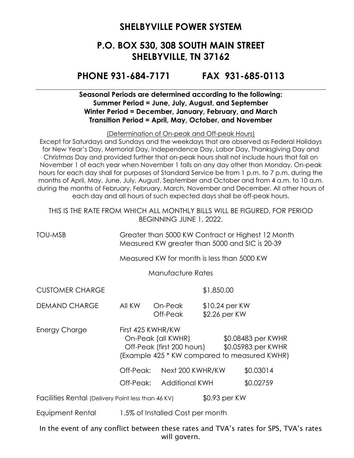## **P.O. BOX 530, 308 SOUTH MAIN STREET SHELBYVILLE, TN 37162**

### **PHONE 931-684-7171 FAX 931-685-0113**

#### **Seasonal Periods are determined according to the following: Summer Period = June, July, August, and September Winter Period = December, January, February, and March Transition Period = April, May, October, and November**

(Determination of On-peak and Off-peak Hours)

Except for Saturdays and Sundays and the weekdays that are observed as Federal Holidays for New Year's Day, Memorial Day, Independence Day, Labor Day, Thanksgiving Day and Christmas Day and provided further that on-peak hours shall not include hours that fall on November 1 of each year when November 1 falls on any day other than Monday. On-peak hours for each day shall for purposes of Standard Service be from 1 p.m. to 7 p.m. during the months of April, May, June, July, August, September and October and from 4 a.m. to 10 a.m. during the months of February, February, March, November and December. All other hours of each day and all hours of such expected days shall be off-peak hours.

THIS IS THE RATE FROM WHICH ALL MONTHLY BILLS WILL BE FIGURED, FOR PERIOD BEGINNING JUNE 1, 2022.

TOU-MSB Greater than 5000 KW Contract or Highest 12 Month Measured KW greater than 5000 and SIC is 20-39

Measured KW for month is less than 5000 KW

Manufacture Rates

CUSTOMER CHARGE \$1,850.00

DEMAND CHARGE All KW On-Peak \$10.24 per KW Off-Peak \$2.26 per KW

Energy Charge First 425 KWHR/KW On-Peak (all KWHR) \$0.08483 per KWHR Off-Peak (first 200 hours) \$0.05983 per KWHR (Example 425 \* KW compared to measured KWHR)

Off-Peak: Next 200 KWHR/KW \$0.03014

Off-Peak: Additional KWH \$0.02759

Facilities Rental (Delivery Point less than 46 KV) \$0.93 per KW

Equipment Rental 1.5% of Installed Cost per month

In the event of any conflict between these rates and TVA's rates for SPS, TVA's rates will govern.